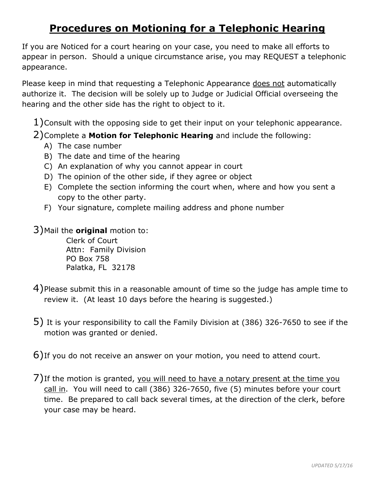## **Procedures on Motioning for a Telephonic Hearing**

If you are Noticed for a court hearing on your case, you need to make all efforts to appear in person. Should a unique circumstance arise, you may REQUEST a telephonic appearance.

Please keep in mind that requesting a Telephonic Appearance does not automatically authorize it. The decision will be solely up to Judge or Judicial Official overseeing the hearing and the other side has the right to object to it.

 $1)$ Consult with the opposing side to get their input on your telephonic appearance.

- 2)Complete a **Motion for Telephonic Hearing** and include the following:
	- A) The case number
	- B) The date and time of the hearing
	- C) An explanation of why you cannot appear in court
	- D) The opinion of the other side, if they agree or object
	- E) Complete the section informing the court when, where and how you sent a copy to the other party.
	- F) Your signature, complete mailing address and phone number

3)Mail the **original** motion to:

Clerk of Court Attn: Family Division PO Box 758 Palatka, FL 32178

- 4)Please submit this in a reasonable amount of time so the judge has ample time to review it. (At least 10 days before the hearing is suggested.)
- 5) It is your responsibility to call the Family Division at (386) 326-7650 to see if the motion was granted or denied.
- 6)If you do not receive an answer on your motion, you need to attend court.
- 7)If the motion is granted, you will need to have a notary present at the time you call in. You will need to call (386) 326-7650, five (5) minutes before your court time. Be prepared to call back several times, at the direction of the clerk, before your case may be heard.